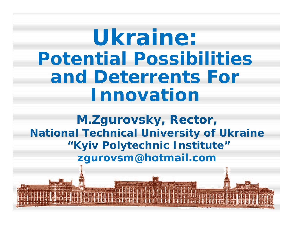**Ukraine: Potential Possibilities and Deterrents For Innovation**

**M.Zgurovsky, Rector, National Technical University of Ukraine "Kyiv Polytechnic Institute" zgurovsm@hotmail.com**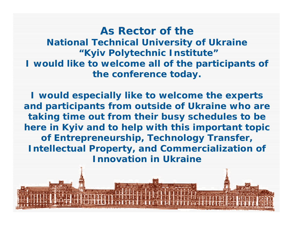**As Rector of the National Technical University of Ukraine "Kyiv Polytechnic Institute" I would like to welcome all of the participants of the conference today.**

**I would especially like to welcome the experts and participants from outside of Ukraine who are taking time out from their busy schedules to be here in Kyiv and to help with this important topic of Entrepreneurship, Technology Transfer, Intellectual Property, and Commercialization of Innovation in Ukraine**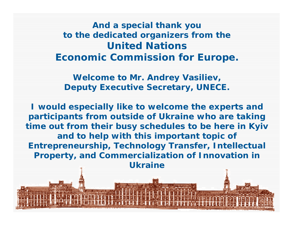**And a special thank you to the dedicated organizers from the United Nations Economic Commission for Europe.**

**Welcome to Mr. Andrey Vasiliev, Deputy Executive Secretary, UNECE.**

**I would especially like to welcome the experts and participants from outside of Ukraine who are taking time out from their busy schedules to be here in Kyiv and to help with this important topic of Entrepreneurship, Technology Transfer, Intellectual Property, and Commercialization of Innovation in Ukraine**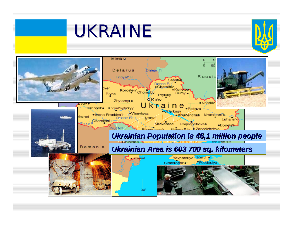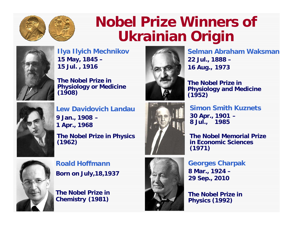

# **Nobel Prize Winners of Ukrainian Origin**



**15 May, 1845 – 15 Jul. , 1916 Ilya Ilyich Mechnikov**

**The Nobel Prize in Physiology or Medicine (1908)**



**22 Jul., 1888 – 16 Aug., 1973 Selman Abraham Waksman**

**The Nobel Prize in Physiology and Medicine (1952)**



**9 Jan., 1908 – 1 Apr., 1968 Lew Davidovich Landau**

**The Nobel Prize in Physics (1962)**



**30 Apr., 1901 – 8 Jul., 1985 Simon Smith Kuznets**

**The Nobel Memorial Prize in Economic Sciences (1971)**

**Born on July,18,1937 Roald Hoffmann** 

**The Nobel Prize in Chemistry (1981)**



**8 Mar., 1924 – 29 Sep., 2010 Georges Charpak** 

**The Nobel Prize in Physics (1992)**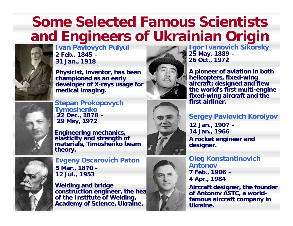# **Some Selected Famous Scientists and Engineers of Ukrainian Origin**



**2 Feb., 1845 – 31 Jan., 1918 Ivan Pavlovych Pulyui**

**Physicist, inventor, has been championed as an early championed as an early developer of X developer of X-rays us rays usage for medical medicalimaging imaging.**



**25 May, 1889 – 26 Oct., 1972 Igor Ivanovich Sikorsky**

**A pioneer of aviation in both pioneer of aviation in both helicopters helicopters, fixed-wing aircraft aircraft; designed and flew designed and flew the world's first multi the world's first multi-engine fixed-wing aircraft wing aircraft and the and the first airliner first airliner.**

#### **Sergey Pavlovich Korolyov**

**A rocket engineer and rocket engineer and designer designer. 12 Jan., 1907 – 14 Jan., 1966**

**7 Feb., 1906 – 4 Apr., 1984 Oleg Konstantinovich Antonov**

Aircraft designer, the founder of Antonov ASTC, a worldfamous aircraft company in **Ukraine Ukraine.**



**22 Dec., 1878 – 29 May, 1972 Stepan Prokopovych Tymoshenko**





**5 Mar., 1870 – 12 Jul., 1953 Evgeny Oscarovich Paton**

**Welding and Welding and bridge**  construction engineer, the hea **of the Institute of Welding, Academy of Science, Ukraine. Academy of Science, Ukraine.**

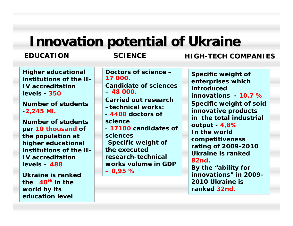# **Innovation potential of Ukraine Innovation potential of Ukraine**

#### **EDUCATION**

#### **SCIENCE SCIENCE HIGH**

#### **Higher educational institutions of the ІІІ-IV accreditation levels - 350**

**Number of students-2,245 Ml.**

**Number of students per 10 thousand of the population at higher educational institutions of the ІІІ-IV accreditation levels – 488** 

**Ukraine is ranked the 40th in the world by its education level**

**Doctors of science –17 000.Candidate of sciences– 48 000. Carried out research –technical works:**- **4400 doctors of science**- **17100 candidates of sciences**-**Specific weight of the executed research-technical works volume in GDP– 0,95 %**

**Specific weight of enterprises which introduced innovations - 10,7 % Specific weight of sold innovative products in the total industrial output - 4,8% In the world competitiveness rating of 2009-2010 Ukraine is ranked82nd.By the "ability for** 

**innovations" in 2009-2010 Ukraine is ranked 32nd.**

#### **-TECH COMPANIES TECH COMPANIES**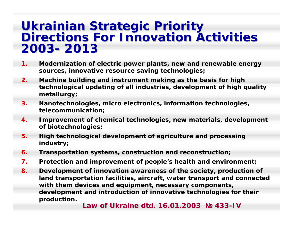# **Ukrainian Strategic Priority<br>Directions For Innovation Activities 2003- 2013**

- **1. Modernization of electric power plants, new and renewable energy sources, innovative resource saving technologies;**
- **2. Machine building and instrument making as the basis for high technological updating of all industries, development of high quality metallurgy;**
- **3. Nanotechnologies, micro electronics, information technologies, telecommunication;**
- **4. Improvement of chemical technologies, new materials, development of biotechnologies;**
- **5. High technological development of agriculture and processing industry;**
- **6.Transportation systems, construction and reconstruction;**
- **7.Protection and improvement of people's health and environment;**
- **8. Development of innovation awareness of the society, production of land transportation facilities, aircraft, water transport and connected with them devices and equipment, necessary components, development and introduction of innovative technologies for their production.**

**Law of Ukraine dtd. 16.01.2003 Law of Ukraine dtd. 16.01.2003 № 433 -IV**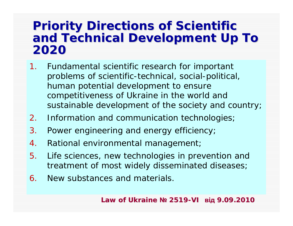### **Priority Directions of Scientific and Technical Development Up To and Technical Development Up To 2020**

- 1. Fundamental scientific research for important problems of scientific-technical, social-political, human potential development to ensure competitiveness of Ukraine in the world and sustainable development of the society and country;
- 2.Information and communication technologies;
- 3.Power engineering and energy efficiency;
- 4.Rational environmental management;
- 5. Life sciences, new technologies in prevention and treatment of most widely disseminated diseases;
- 6.New substances and materials.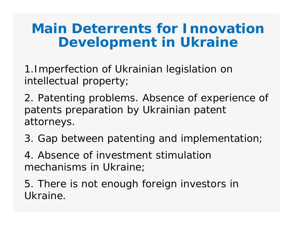## **Main Deterrents for Innovation Development in Ukraine**

1.Imperfection of Ukrainian legislation on intellectual property;

2. Patenting problems. Absence of experience of patents preparation by Ukrainian patent attorneys.

3. Gap between patenting and implementation;

4. Absence of investment stimulation mechanisms in Ukraine;

5. There is not enough foreign investors in Ukraine.